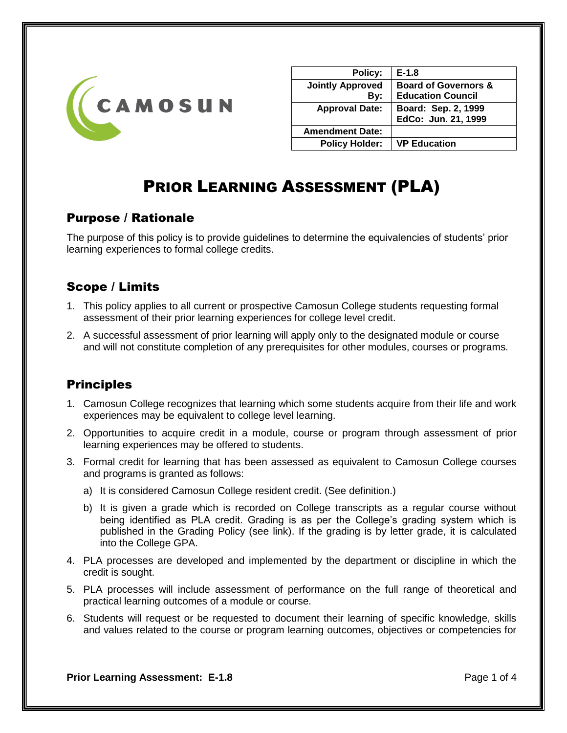

| Policy:                 | $E-1.8$                         |
|-------------------------|---------------------------------|
| <b>Jointly Approved</b> | <b>Board of Governors &amp;</b> |
| By:                     | <b>Education Council</b>        |
| <b>Approval Date:</b>   | Board: Sep. 2, 1999             |
|                         | EdCo: Jun. 21, 1999             |
| <b>Amendment Date:</b>  |                                 |
| <b>Policy Holder:</b>   | <b>VP Education</b>             |
|                         |                                 |

# PRIOR LEARNING ASSESSMENT (PLA)

# Purpose / Rationale

The purpose of this policy is to provide guidelines to determine the equivalencies of students' prior learning experiences to formal college credits.

# Scope / Limits

- 1. This policy applies to all current or prospective Camosun College students requesting formal assessment of their prior learning experiences for college level credit.
- 2. A successful assessment of prior learning will apply only to the designated module or course and will not constitute completion of any prerequisites for other modules, courses or programs.

# **Principles**

- 1. Camosun College recognizes that learning which some students acquire from their life and work experiences may be equivalent to college level learning.
- 2. Opportunities to acquire credit in a module, course or program through assessment of prior learning experiences may be offered to students.
- 3. Formal credit for learning that has been assessed as equivalent to Camosun College courses and programs is granted as follows:
	- a) It is considered Camosun College resident credit. (See definition.)
	- b) It is given a grade which is recorded on College transcripts as a regular course without being identified as PLA credit. Grading is as per the College's grading system which is published in the Grading Policy (see link). If the grading is by letter grade, it is calculated into the College GPA.
- 4. PLA processes are developed and implemented by the department or discipline in which the credit is sought.
- 5. PLA processes will include assessment of performance on the full range of theoretical and practical learning outcomes of a module or course.
- 6. Students will request or be requested to document their learning of specific knowledge, skills and values related to the course or program learning outcomes, objectives or competencies for

**Prior Learning Assessment: E-1.8 Prior Learning Assessment: E-1.8**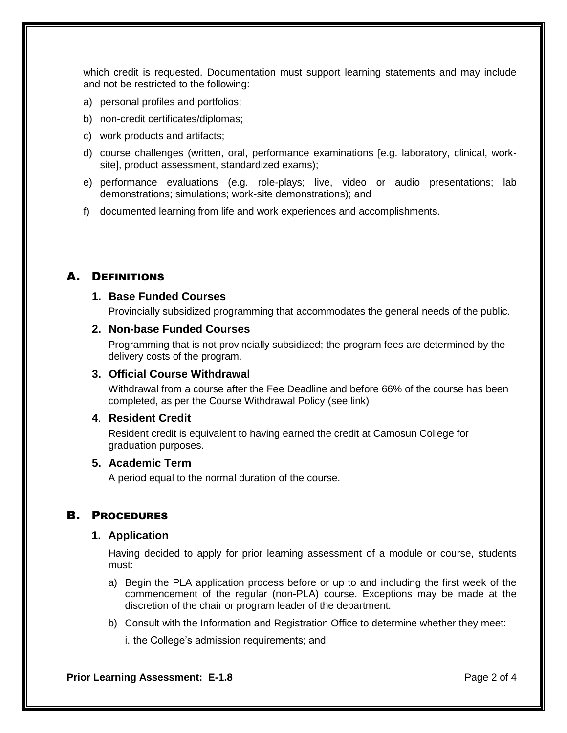which credit is requested. Documentation must support learning statements and may include and not be restricted to the following:

- a) personal profiles and portfolios;
- b) non-credit certificates/diplomas;
- c) work products and artifacts;
- d) course challenges (written, oral, performance examinations [e.g. laboratory, clinical, worksite], product assessment, standardized exams);
- e) performance evaluations (e.g. role-plays; live, video or audio presentations; lab demonstrations; simulations; work-site demonstrations); and
- f) documented learning from life and work experiences and accomplishments.

## A. DEFINITIONS

#### **1. Base Funded Courses**

Provincially subsidized programming that accommodates the general needs of the public.

#### **2. Non-base Funded Courses**

Programming that is not provincially subsidized; the program fees are determined by the delivery costs of the program.

#### **3. Official Course Withdrawal**

Withdrawal from a course after the Fee Deadline and before 66% of the course has been completed, as per the Course Withdrawal Policy (see link)

#### **4**. **Resident Credit**

Resident credit is equivalent to having earned the credit at Camosun College for graduation purposes.

#### **5. Academic Term**

A period equal to the normal duration of the course.

## B. PROCEDURES

#### **1. Application**

Having decided to apply for prior learning assessment of a module or course, students must:

- a) Begin the PLA application process before or up to and including the first week of the commencement of the regular (non-PLA) course. Exceptions may be made at the discretion of the chair or program leader of the department.
- b) Consult with the Information and Registration Office to determine whether they meet:
	- i. the College's admission requirements; and

**Prior Learning Assessment: E-1.8 Prior Learning Assessment: E-1.8 Page 2 of 4**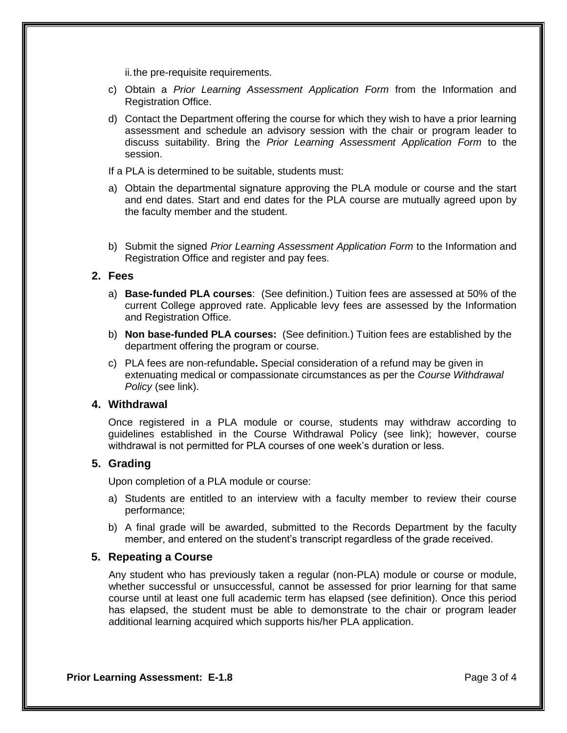ii. the pre-requisite requirements.

- c) Obtain a *Prior Learning Assessment Application Form* from the Information and Registration Office.
- d) Contact the Department offering the course for which they wish to have a prior learning assessment and schedule an advisory session with the chair or program leader to discuss suitability. Bring the *Prior Learning Assessment Application Form* to the session.
- If a PLA is determined to be suitable, students must:
- a) Obtain the departmental signature approving the PLA module or course and the start and end dates. Start and end dates for the PLA course are mutually agreed upon by the faculty member and the student.
- b) Submit the signed *Prior Learning Assessment Application Form* to the Information and Registration Office and register and pay fees.

#### **2. Fees**

- a) **Base-funded PLA courses**: (See definition.) Tuition fees are assessed at 50% of the current College approved rate. Applicable levy fees are assessed by the Information and Registration Office.
- b) **Non base-funded PLA courses:** (See definition.) Tuition fees are established by the department offering the program or course.
- c) PLA fees are non-refundable**.** Special consideration of a refund may be given in extenuating medical or compassionate circumstances as per the *Course Withdrawal Policy* (see link).

#### **4. Withdrawal**

Once registered in a PLA module or course, students may withdraw according to guidelines established in the Course Withdrawal Policy (see link); however, course withdrawal is not permitted for PLA courses of one week's duration or less.

#### **5. Grading**

Upon completion of a PLA module or course:

- a) Students are entitled to an interview with a faculty member to review their course performance;
- b) A final grade will be awarded, submitted to the Records Department by the faculty member, and entered on the student's transcript regardless of the grade received.

#### **5. Repeating a Course**

Any student who has previously taken a regular (non-PLA) module or course or module, whether successful or unsuccessful, cannot be assessed for prior learning for that same course until at least one full academic term has elapsed (see definition). Once this period has elapsed, the student must be able to demonstrate to the chair or program leader additional learning acquired which supports his/her PLA application.